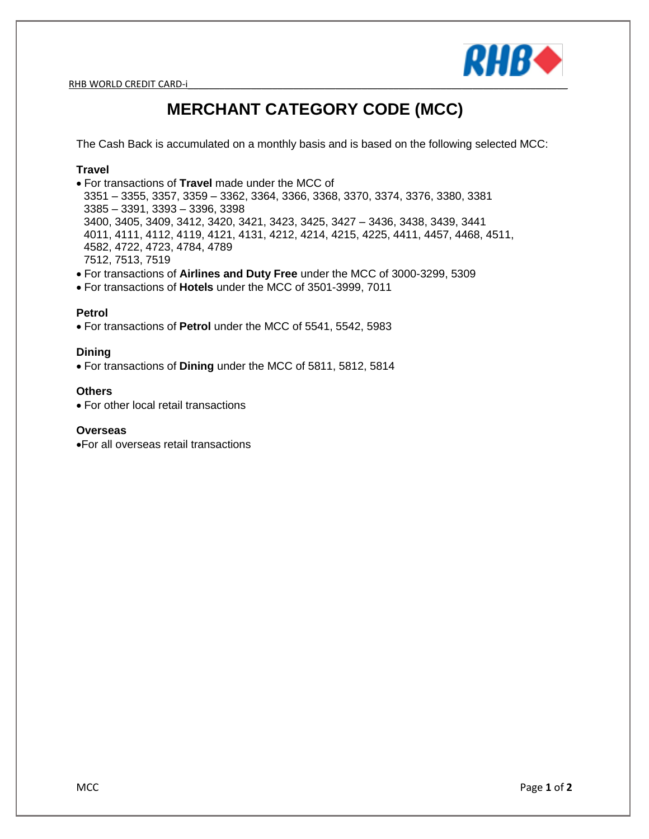RHB WORLD CREDIT CARD-i



# **MERCHANT CATEGORY CODE (MCC)**

The Cash Back is accumulated on a monthly basis and is based on the following selected MCC:

### **Travel**

- For transactions of **Travel** made under the MCC of 3351 – 3355, 3357, 3359 – 3362, 3364, 3366, 3368, 3370, 3374, 3376, 3380, 3381 3385 – 3391, 3393 – 3396, 3398 3400, 3405, 3409, 3412, 3420, 3421, 3423, 3425, 3427 – 3436, 3438, 3439, 3441 4011, 4111, 4112, 4119, 4121, 4131, 4212, 4214, 4215, 4225, 4411, 4457, 4468, 4511, 4582, 4722, 4723, 4784, 4789 7512, 7513, 7519
- For transactions of **Airlines and Duty Free** under the MCC of 3000-3299, 5309
- For transactions of **Hotels** under the MCC of 3501-3999, 7011

## **Petrol**

For transactions of **Petrol** under the MCC of 5541, 5542, 5983

#### **Dining**

For transactions of **Dining** under the MCC of 5811, 5812, 5814

#### **Others**

• For other local retail transactions

#### **Overseas**

For all overseas retail transactions